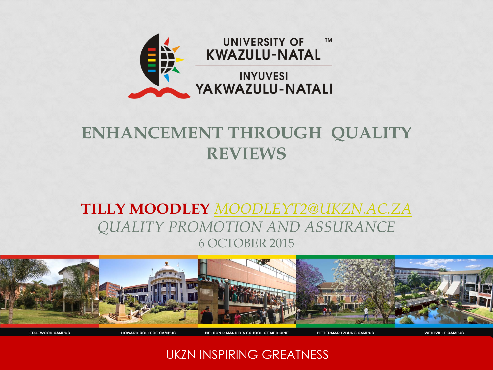

### **ENHANCEMENT THROUGH QUALITY REVIEWS**

### **TILLY MOODLEY** *[MOODLEYT2@UKZN.AC.ZA](mailto:Moodleyt2@ukzn.ac.za) QUALITY PROMOTION AND ASSURANCE* 6 OCTOBER 2015



UKZN INSPIRING GREATNESS

**NELSON R MANDELA SCHOOL OF MEDICINE** 

PIETERMARITZBURG CAMPUS

**EDGEWOOD CAMPUS** 

**HOWARD COLLEGE CAMPUS**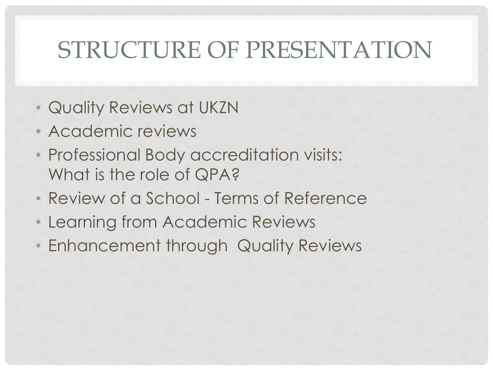## STRUCTURE OF PRESENTATION

- Quality Reviews at UKZN
- Academic reviews
- Professional Body accreditation visits: What is the role of QPA?
- Review of a School Terms of Reference
- Learning from Academic Reviews
- Enhancement through Quality Reviews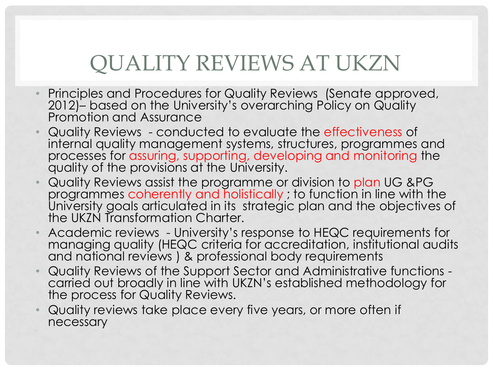## QUALITY REVIEWS AT UKZN

- Principles and Procedures for Quality Reviews (Senate approved, 2012)– based on the University's overarching Policy on Quality Promotion and Assurance
- Quality Reviews conducted to evaluate the effectiveness of internal quality management systems, structures, programmes and processes for assuring, supporting, developing and monitoring the quality of the provisions at the University.
- Quality Reviews assist the programme or division to plan UG &PG programmes coherently and holistically ; to function in line with the University goals articulated in its strategic plan and the objectives of the UKZN Transformation Charter.
- Academic reviews University's response to HEQC requirements for managing quality (HEQC criteria for accreditation, institutional audits and national reviews ) & professional body requirements
- Quality Reviews of the Support Sector and Administrative functions carried out broadly in line with UKZN's established methodology for the process for Quality Reviews.
- Quality reviews take place every five years, or more often if necessary

•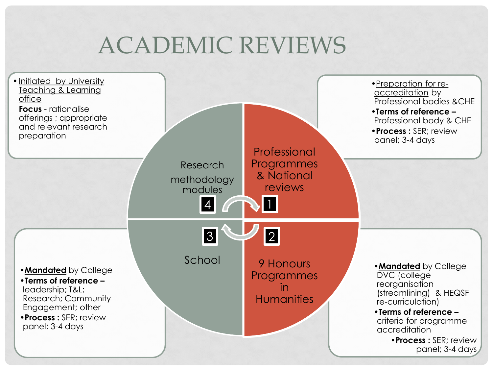## ACADEMIC REVIEWS

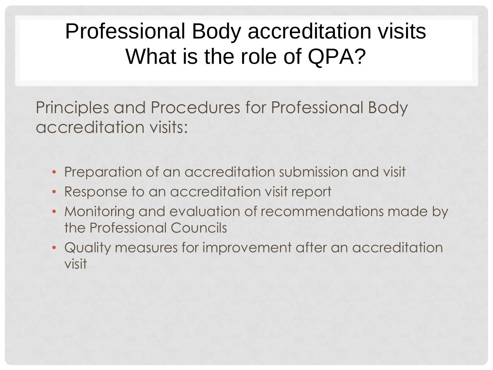## Professional Body accreditation visits What is the role of QPA?

Principles and Procedures for Professional Body accreditation visits:

- Preparation of an accreditation submission and visit
- Response to an accreditation visit report
- Monitoring and evaluation of recommendations made by the Professional Councils
- Quality measures for improvement after an accreditation visit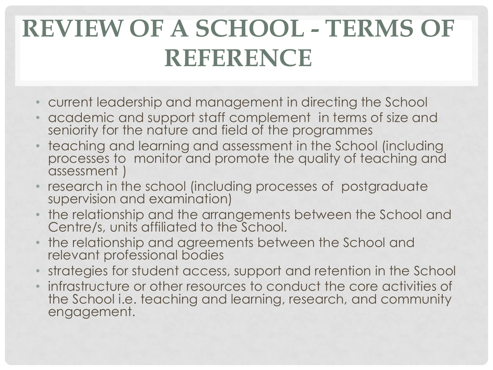# **REVIEW OF A SCHOOL - TERMS OF REFERENCE**

- current leadership and management in directing the School
- academic and support staff complement in terms of size and seniority for the nature and field of the programmes
- teaching and learning and assessment in the School (including processes to monitor and promote the quality of teaching and assessment )
- research in the school (including processes of postgraduate supervision and examination)
- the relationship and the arrangements between the School and Centre/s, units affiliated to the School.
- the relationship and agreements between the School and relevant professional bodies
- strategies for student access, support and retention in the School
- infrastructure or other resources to conduct the core activities of the School i.e. teaching and learning, research, and community engagement.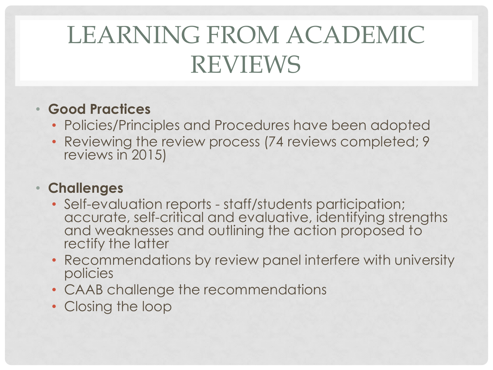# LEARNING FROM ACADEMIC REVIEWS

### • **Good Practices**

- Policies/Principles and Procedures have been adopted
- Reviewing the review process (74 reviews completed; 9 reviews in 2015)

#### • **Challenges**

- Self-evaluation reports staff/students participation; accurate, self-critical and evaluative, identifying strengths and weaknesses and outlining the action proposed to rectify the latter
- Recommendations by review panel interfere with university policies
- CAAB challenge the recommendations
- Closing the loop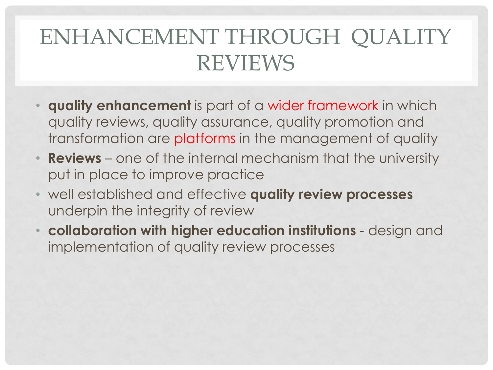## ENHANCEMENT THROUGH QUALITY REVIEWS

- **quality enhancement** is part of a wider framework in which quality reviews, quality assurance, quality promotion and transformation are platforms in the management of quality
- **Reviews** one of the internal mechanism that the university put in place to improve practice
- well established and effective **quality review processes**  underpin the integrity of review
- **collaboration with higher education institutions** design and implementation of quality review processes